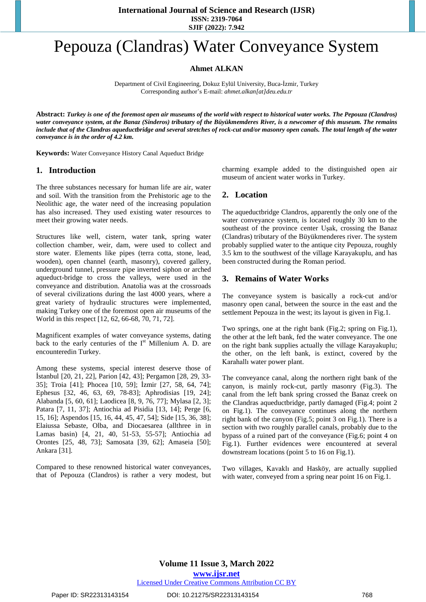# Pepouza (Clandras) Water Conveyance System

## **Ahmet ALKAN**

Department of Civil Engineering, Dokuz Eylül University, Buca-İzmir, Turkey Corresponding author's E-mail: *[ahmet.alkan\[at\]deu.edu.tr](mailto:ahmet.alkan@deu.edu.tr)*

Abstract: Turkey is one of the foremost open air museums of the world with respect to historical water works. The Pepouza (Clandros) water conveyance system, at the Banaz (Sinderos) tributary of the Büyükmemderes River, is a newcomer of this museum. The remains include that of the Clandras aqueductbridge and several stretches of rock-cut and/or masonry open canals. The total length of the water *conveyance is in the order of 4.2 km.*

**Keywords:** Water Conveyance History Canal Aqueduct Bridge

#### **1. Introduction**

The three substances necessary for human life are air, water and soil. With the transition from the Prehistoric age to the Neolithic age, the water need of the increasing population has also increased. They used existing water resources to meet their growing water needs.

Structures like well, cistern, water tank, spring water collection chamber, weir, dam, were used to collect and store water. Elements like pipes (terra cotta, stone, lead, wooden), open channel (earth, masonry), covered gallery, underground tunnel, pressure pipe inverted siphon or arched aqueduct-bridge to cross the valleys, were used in the conveyance and distribution. Anatolia was at the crossroads of several civilizations during the last 4000 years, where a great variety of hydraulic structures were implemented, making Turkey one of the foremost open air museums of the World in this respect [12, 62, 66-68, 70, 71, 72].

Magnificent examples of water conveyance systems, dating back to the early centuries of the  $I<sup>st</sup>$  Millenium A. D. are encounteredin Turkey.

Among these systems, special interest deserve those of İstanbul [20, 21, 22], Parion [42, 43]; Pergamon [28, 29, 33- 35]; Troia [41]; Phocea [10, 59]; İzmir [27, 58, 64, 74]; Ephesus [32, 46, 63, 69, 78-83]; Aphrodisias [19, 24]; Alabanda [5, 60, 61]; Laodicea [8, 9, 76, 77]; Mylasa [2, 3]; Patara [7, 11, 37]; Antiochia ad Pisidia [13, 14]; Perge [6, 15, 16]; Aspendos [15, 16, 44, 45, 47, 54]; Side [15, 36, 38]; Elaiussa Sebaste, Olba, and Diocaesarea (allthree in in Lamas basin) [4, 21, 40, 51-53, 55-57]; Antiochia ad Orontes [25, 48, 73]; Samosata [39, 62]; Amaseia [50]; Ankara [31]*.* 

Compared to these renowned historical water conveyances, that of Pepouza (Clandros) is rather a very modest, but charming example added to the distinguished open air museum of ancient water works in Turkey.

#### **2. Location**

The aqueductbridge Clandros, apparently the only one of the water conveyance system, is located roughly 30 km to the southeast of the province center Uşak, crossing the Banaz (Clandras) tributary of the Büyükmenderes river. The system probably supplied water to the antique city Pepouza, roughly 3.5 km to the southwest of the village Karayakuplu, and has been constructed during the Roman period.

#### **3. Remains of Water Works**

The conveyance system is basically a rock-cut and/or masonry open canal, between the source in the east and the settlement Pepouza in the west; its layout is given in Fig.1.

Two springs, one at the right bank (Fig.2; spring on Fig.1), the other at the left bank, fed the water conveyance. The one on the right bank supplies actually the village Karayakuplu; the other, on the left bank, is extinct, covered by the Karahallı water power plant.

The conveyance canal, along the northern right bank of the canyon, is mainly rock-cut, partly masonry (Fig.3). The canal from the left bank spring crossed the Banaz creek on the Clandras aqueductbridge, partly damaged (Fig.4; point 2 on Fig.1). The conveyance continues along the northern right bank of the canyon (Fig.5; point 3 on Fig.1). There is a section with two roughly parallel canals, probably due to the bypass of a ruined part of the conveyance (Fig.6; point 4 on Fig.1). Further evidences were encountered at several downstream locations (point 5 to 16 on Fig.1).

Two villages, Kavaklı and Hasköy, are actually supplied with water, conveyed from a spring near point 16 on Fig.1.

Paper ID: SR22313143154 DOI: 10.21275/SR22313143154 768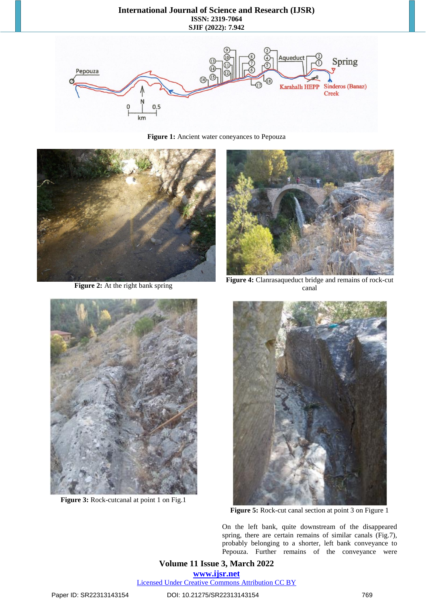#### **International Journal of Science and Research (IJSR) ISSN: 2319-7064 SJIF (2022): 7.942**



**Figure 1:** Ancient water coneyances to Pepouza



**Figure 2:** At the right bank spring



**Figure 4:** Clanrasaqueduct bridge and remains of rock-cut canal



**Figure 3:** Rock-cutcanal at point 1 on Fig.1



**Figure 5:** Rock-cut canal section at point 3 on Figure 1

On the left bank, quite downstream of the disappeared spring, there are certain remains of similar canals (Fig.7), probably belonging to a shorter, left bank conveyance to Pepouza. Further remains of the conveyance were

**Volume 11 Issue 3, March 2022 www.ijsr.net** Licensed Under Creative Commons Attribution CC BY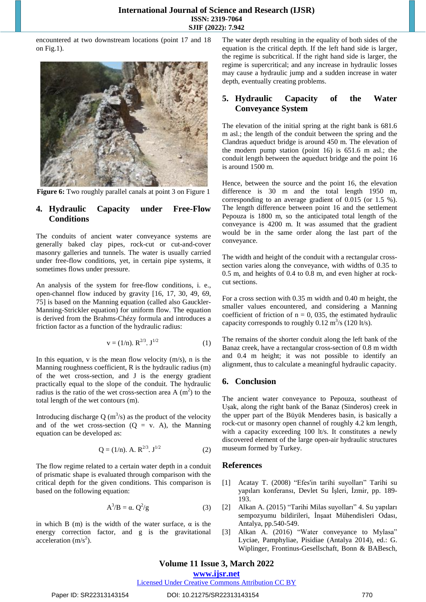encountered at two downstream locations (point 17 and 18 on Fig.1).



**Figure 6:** Two roughly parallel canals at point 3 on Figure 1

## **4. Hydraulic Capacity under Free-Flow Conditions**

The conduits of ancient water conveyance systems are generally baked clay pipes, rock-cut or cut-and-cover masonry galleries and tunnels. The water is usually carried under free-flow conditions, yet, in certain pipe systems, it sometimes flows under pressure.

An analysis of the system for free-flow conditions, i. e., open-channel flow induced by gravity [16, 17, 30, 49, 69, 75] is based on the Manning equation (called also Gauckler-Manning-Strickler equation) for uniform flow. The equation is derived from the Brahms-Chézy formula and introduces a friction factor as a function of the hydraulic radius:

$$
v = (1/n). R^{2/3}. J^{1/2}
$$
 (1)

In this equation,  $v$  is the mean flow velocity  $(m/s)$ , n is the Manning roughness coefficient, R is the hydraulic radius (m) of the wet cross-section, and J is the energy gradient practically equal to the slope of the conduit. The hydraulic radius is the ratio of the wet cross-section area A  $(m<sup>2</sup>)$  to the total length of the wet contours (m).

Introducing discharge Q ( $\text{m}^3$ /s) as the product of the velocity and of the wet cross-section  $(Q = v. A)$ , the Manning equation can be developed as:

$$
Q = (1/n). A. R^{2/3}. J^{1/2}
$$
 (2)

The flow regime related to a certain water depth in a conduit of prismatic shape is evaluated through comparison with the critical depth for the given conditions. This comparison is based on the following equation:

$$
A^3/B = \alpha. Q^2/g \tag{3}
$$

in which B (m) is the width of the water surface,  $\alpha$  is the energy correction factor, and g is the gravitational acceleration  $(m/s<sup>2</sup>)$ .

The water depth resulting in the equality of both sides of the equation is the critical depth. If the left hand side is larger, the regime is subcritical. If the right hand side is larger, the regime is supercritical; and any increase in hydraulic losses may cause a hydraulic jump and a sudden increase in water depth, eventually creating problems.

### **5. Hydraulic Capacity of the Water Conveyance System**

The elevation of the initial spring at the right bank is 681.6 m asl.; the length of the conduit between the spring and the Clandras aqueduct bridge is around 450 m. The elevation of the modern pump station (point 16) is 651.6 m asl.; the conduit length between the aqueduct bridge and the point 16 is around 1500 m.

Hence, between the source and the point 16, the elevation difference is 30 m and the total length 1950 m, corresponding to an average gradient of 0.015 (or 1.5 %). The length difference between point 16 and the settlement Pepouza is 1800 m, so the anticipated total length of the conveyance is 4200 m. It was assumed that the gradient would be in the same order along the last part of the conveyance.

The width and height of the conduit with a rectangular crosssection varies along the conveyance, with widths of 0.35 to 0.5 m, and heights of 0.4 to 0.8 m, and even higher at rockcut sections.

For a cross section with 0.35 m width and 0.40 m height, the smaller values encountered, and considering a Manning coefficient of friction of  $n = 0$ , 035, the estimated hydraulic capacity corresponds to roughly  $0.12 \text{ m}^3\text{/s}$  (120 lt/s).

The remains of the shorter conduit along the left bank of the Banaz creek, have a rectangular cross-section of 0.8 m width and 0.4 m height; it was not possible to identify an alignment, thus to calculate a meaningful hydraulic capacity.

#### **6. Conclusion**

The ancient water conveyance to Pepouza, southeast of Uşak, along the right bank of the Banaz (Sinderos) creek in the upper part of the Büyük Menderes basin, is basically a rock-cut or masonry open channel of roughly 4.2 km length, with a capacity exceeding 100 lt/s. It constitutes a newly discovered element of the large open-air hydraulic structures museum formed by Turkey.

#### **References**

- [1] Acatay T. (2008) "Efes'in tarihi suyolları" Tarihi su yapıları konferansı, Devlet Su İşleri, İzmir, pp. 189- 193.
- [2] Alkan A. (2015) "Tarihi Milas suyolları" 4. Su yapıları sempozyumu bildirileri, İnşaat Mühendisleri Odası, Antalya, pp.540-549.
- [3] Alkan A. (2016) "Water conveyance to Mylasa" Lyciae, Pamphyliae, Pisidiae (Antalya 2014), ed.: G. Wiplinger, Frontinus-Gesellschaft, Bonn & BABesch,

# **Volume 11 Issue 3, March 2022**

**www.ijsr.net**

Licensed Under Creative Commons Attribution CC BY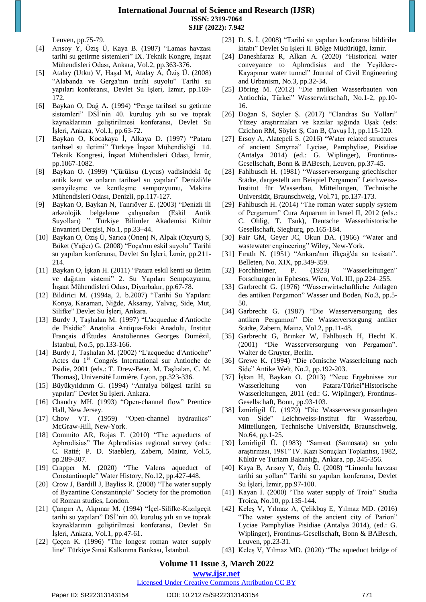Leuven, pp.75-79.

- [4] Arısoy Y, Öziş Ü, Kaya B. (1987) "Lamas havzası tarihi su getirme sistemleri" IX. Teknik Kongre, İnşaat Mühendisleri Odası, Ankara, Vol.2, pp.363-376.
- [5] Atalay (Utku) V, Haşal M, Atalay A, Öziş Ü. (2008) "Alabanda ve Gerga'nın tarihi suyolu" Tarihi su yapıları konferansı, Devlet Su İşleri, İzmir, pp.169- 172.
- [6] Baykan O, Dağ A. (1994) "Perge tarihsel su getirme sistemleri" DSİ'nin 40. kuruluş yılı su ve toprak kaynaklarının geliştirilmesi konferansı, Devlet Su İşleri, Ankara, Vol.1, pp.63-72.
- [7] Baykan O, Kocakaya İ, Alkaya D. (1997) "Patara tarihsel su iletimi" Türkiye İnşaat Mühendisliği 14. Teknik Kongresi, İnşaat Mühendisleri Odası, İzmir, pp.1067-1082.
- [8] Baykan O. (1999) "Çürüksu (Lycus) vadisindeki üç antik kent ve onların tarihsel su yapıları" Denizli'de sanayileşme ve kentleşme sempozyumu, Makina Mühendisleri Odası, Denizli, pp.117-127.
- [9] Baykan O, Baykan N, Tanrıöver E. (2003) "Denizli ili arkeolojik belgeleme çalışmaları (Eskil Antik Suyolları) " Türkiye Bilimler Akademisi Kültür Envanteri Dergisi, No.1, pp.33–44.
- [10] Baykan O, Öziş Ü, Sarıca (Önen) N, Alpak (Özyurt) S, Büket (Yağcı) G. (2008) "Foça'nın eskil suyolu" Tarihi su yapıları konferansı, Devlet Su İşleri, İzmir, pp.211- 214.
- [11] Baykan O, İşkan H. (2011) "Patara eskil kenti su iletim ve dağıtım sistemi" 2. Su Yapıları Sempozyumu, İnşaat Mühendisleri Odası, Diyarbakır, pp.67-78.
- [12] Bildirici M. (1994a, 2. b.2007) "Tarihi Su Yapıları: Konya, Karaman, Niğde, Aksaray, Yalvaç, Side, Mut, Silifke" Devlet Su İşleri, Ankara.
- [13] Burdy J, Taşlıalan M. (1997) "L'acqueduc d'Antioche de Pisidie" Anatolia Antiqua-Eski Anadolu, Institut Français d'Études Anatoliennes Georges Dumézil, İstanbul, No.5, pp.133-166.
- [14] Burdy J, Taşlıalan M. (2002) "L'acqueduc d'Antioche" Actes du 1<sup>er</sup> Congrès International sur Antioche de Psidie, 2001 (eds.: T. Drew-Bear, M. Taşlıalan, C. M. Thomas), Université Lumière, Lyon, pp.323-336.
- [15] Büyükyıldırım G. (1994) "Antalya bölgesi tarihi su yapıları" Devlet Su İşleri. Ankara.
- [16] Chaudry MH. (1993) "Open-channel flow" Prentice Hall, New Jersey.
- [17] Chow VT. (1959) "Open-channel hydraulics" McGraw-Hill, New-York.
- [18] Commito AR, Rojas F. (2010) "The aqueducts of Aphrodisias" The Aphrodisias regional survey (eds.: C. Ratté; P. D. Staebler), Zabern, Mainz, Vol.5, pp.289-307.
- [19] Crapper M. (2020) "The Valens aqueduct of Constantinople" Water History, No.12, pp.427-448.
- [20] Crow J, Bardill J, Bayliss R. (2008) "The water supply of Byzantine Constantinple" Society for the promotion of Roman studies, London.
- [21] Çangırı A, Akpınar M. (1994) "İçel-Silifke-Kızılgeçit tarihi su yapıları" DSİ'nin 40. kuruluş yılı su ve toprak kaynaklarının geliştirilmesi konferansı, Devlet Su İşleri, Ankara, Vol.1, pp.47-61.
- [22] Çeçen K. (1996) "The longest roman water supply line" Türkiye Sınai Kalkınma Bankası, İstanbul.
- [23] D. S. İ. (2008) "Tarihi su yapıları konferansı bildiriler kitabı" Devlet Su İşleri II. Bölge Müdürlüğü, İzmir.
- [24] Daneshfaraz R, Alkan A. (2020) "Historical water conveyance to Aphrodisias and the Yeşildere-Kayapınar water tunnel" Journal of Civil Engineering and Urbanism, No.3, pp.32-34.
- [25] Döring M. (2012) "Die antiken Wasserbauten von Antiochia, Türkei" Wasserwirtschaft, No.1-2, pp.10- 16.
- [26] Doğan S, Söyler Ş. (2017) "Clandras Su Yolları" Yüzey araştırmaları ve kazılar ışığında Uşak (eds: Czichon RM, Söyler Ş, Can B, Çavuş İ.), pp.115-120.
- [27] Ersoy A, Alatepeli S. (2016) "Water related structures of ancient Smyrna" Lyciae, Pamphyliae, Pisidiae (Antalya 2014) (ed.: G. Wiplinger), Frontinus-Gesellschaft, Bonn & BABesch, Leuven, pp.37-45.
- [28] Fahlbusch H. (1981) "Wasserversorgung griechischer Städte, dargestellt am Beispiel Pergamon" Leichweiss-Institut für Wasserbau, Mitteilungen, Technische Universität, Braunschweig, Vol.71, pp.137-173.
- [29] Fahlbusch H. (2014) "The roman water supply system of Pergamum" Cura Aquarum in Israel II, 2012 (eds.: C. Ohlig, T. Tsuk), Deutsche Wasserhistorische Gesellschaft, Siegburg, pp.165-184.
- [30] Fair GM, Geyer JC, Okun DA. (1966) "Water and wastewater engineering" Wiley, New-York.
- [31] Fıratlı N. (1951) "Ankara'nın ilkçağ'da su tesisatı". Belleten, No. XIX, pp.349-359.
- [32] Forchheimer, P. (1923) "Wasserleitungen" Forschungen in Ephesos, Wien, Vol. III, pp.224–255.
- [33] Garbrecht G. (1976) "Wasserwirtschaftliche Anlagen des antiken Pergamon" Wasser und Boden, No.3, pp.5- 50.
- [34] Garbrecht G. (1987) "Die Wasserversorgung des antiken Pergamon" Die Wasserversorgung antiker Städte, Zabern, Mainz, Vol.2, pp.11-48.
- [35] Garbrecht G, Brınker W, Fahlbusch H, Hecht K. (2001) "Die Wasserversorgung von Pergamon". Walter de Gruyter, Berlin.
- [36] Grewe K. (1994) "Die römische Wasserleitung nach Side" Antike Welt, No.2, pp.192-203.
- [37] İşkan H, Baykan O. (2013) "Neue Ergebnisse zur Wasserleitung von Patara/Türkei"Historische Wasserleitungen, 2011 (ed.: G. Wiplinger), Frontinus-Gesellschaft, Bonn, pp.93-103.
- [38] İzmirligil Ü. (1979) "Die Wasserversorgunsanlagen von Side" Leichtweiss-Institut für Wasserbau, Mitteilungen, Technische Universität, Braunschweig, No.64, pp.1-25.
- [39] İzmirligil Ü. (1983) "Samsat (Samosata) su yolu araştırması, 1981" IV. Kazı Sonuçları Toplantısı, 1982, Kültür ve Turizm Bakanlığı, Ankara, pp, 345-356.
- [40] Kaya B, Arısoy Y, Öziş Ü. (2008) "Limonlu havzası tarihi su yolları" Tarihi su yapıları konferansı, Devlet Su İşleri, İzmir, pp.97-100.
- [41] Kayan İ. (2000) "The water supply of Troia" Studia Troica, No.10, pp.135-144.
- [42] Keleş V, Yılmaz A, Çelikbaş E, Yılmaz MD. (2016) "The water systems of the ancient city of Parion" Lyciae Pamphyliae Pisidiae (Antalya 2014), (ed.: G. Wiplinger), Frontinus-Gesellschaft, Bonn & BABesch, Leuven, pp.23-31.
- [43] Keleş V, Yılmaz MD. (2020) "The aqueduct bridge of

**Volume 11 Issue 3, March 2022**

#### **www.ijsr.net**

Licensed Under Creative Commons Attribution CC BY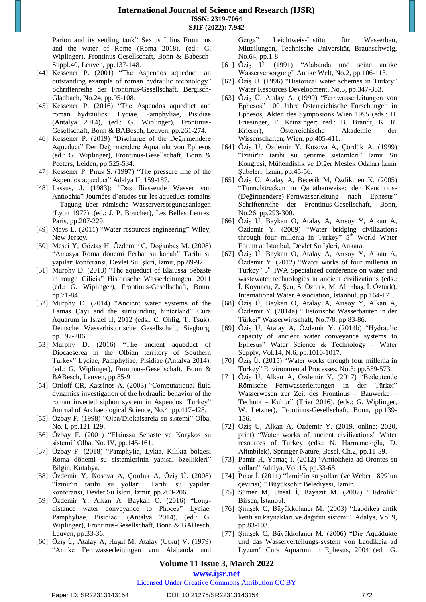Parion and its settling tank" Sextus Iulius Frontinus and the water of Rome (Roma 2018), (ed.: G. Wiplinger), Frontinus-Gesellschaft, Bonn & Babesch-Suppl.40, Leuven, pp.137-148.

- [44] Kessener P. (2001) "The Aspendos aqueduct, an outstanding example of roman hydraulic technology" Schriftenreihe der Frontinus-Gesellschaft, Bergisch-Gladbach, No.24, pp.95-108.
- [45] Kessener P. (2016) "The Aspendos aqueduct and roman hydraulics" Lyciae, Pamphyliae, Pisidiae (Antalya 2014), (ed.: G. Wiplinger), Frontinus-Gesellschaft, Bonn & BABesch, Leuven, pp.261-274.
- [46] Kessener P. (2019) "Discharge of the Değirmendere Aqueduct" Der Değirmendere Aquädukt von Ephesos (ed.: G. Wiplinger), Frontinus-Gesellschaft, Bonn & Peeters, Leiden, pp.525-534.
- [47] Kessener P, Pıras S. (1997) "The pressure line of the Aspendos aqueduct" Adalya II, 159-187.
- [48] Lassus, J. (1983): "Das fliessende Wasser von Antiochia" Journées d'études sur les aqueducs romains – Tagung über römische Wasserversorgungsanlagen (Lyon 1977), (ed.: J. P. Boucher), Les Belles Lettres, Paris, pp.207-229.
- [49] Mays L. (2011) "Water resources engineering" Wiley, New-Jersey.
- [50] Mesci Y, Göztaş H, Özdemir C, Doğanbaş M. (2008) "Amasya Roma dönemi Ferhat su kanalı" Tarihi su yapıları konferansı, Devlet Su İşleri, İzmir, pp.89-92.
- [51] Murphy D. (2013) "The aqueduct of Elaiussa Sebaste in rough Cilicia" Historische Wasserleitungen, 2011 (ed.: G. Wiplinger), Frontinus-Gesellschaft, Bonn, pp.71-84.
- [52] Murphy D. (2014) "Ancient water systems of the Lamas Çayı and the surrounding hinterland" Cura Aquarum in Israel II, 2012 (eds.: C. Ohlig, T. Tsuk), Deutsche Wasserhistorische Gesellschaft, Siegburg, pp.197-206.
- [53] Murphy D. (2016) "The ancient aqueduct of Diocaeserea in the Olbian territory of Southern Turkey" Lyciae, Pamphyliae, Pisidiae (Antalya 2014), (ed.: G. Wiplinger), Frontinus-Gesellschaft, Bonn & BABesch, Leuven, pp.85-91.
- [54] Ortloff CR, Kassinos A. (2003) "Computational fluid dynamics investigation of the hydraulic behavior of the roman inverted siphon system in Aspendos, Turkey" Journal of Archaeological Science, No.4, pp.417-428.
- [55] Özbay F. (1998) "Olba/Diokaisareia su sistemi" Olba, No. I, pp.121-129.
- [56] Özbay F. (2001) "Elaiussa Sebaste ve Korykos su sistemi" Olba, No. IV, pp.145-161.
- [57] Özbay F. (2018) "Pamphylia, Lykia, Kilikia bölgesi Roma dönemi su sistemlerinin yapısal özellikleri" Bilgin, Kütahya.
- [58] Özdemir Y, Kosova A, Çördük A, Öziş Ü. (2008) "İzmir'in tarihi su yolları" Tarihi su yapıları konferansı, Devlet Su İşleri, İzmir, pp.203-206.
- [59] Özdemir Y, Alkan A, Baykan O. (2016) "Longdistance water conveyance to Phocea" Lyciae, Pamphyliae, Pisidiae" (Antalya 2014), (ed.: G. Wiplinger), Frontinus-Gesellschaft, Bonn & BABesch, Leuven, pp.33-36.
- [60] Öziş Ü, Atalay A, Haşal M, Atalay (Utku) V. (1979) "Antike Fernwasserleitungen von Alabanda und

Gerga" Leichtweis-Institut für Wasserbau, Mitteilungen, Technische Universität, Braunschweig, No.64, pp.1-8.

- [61] Öziş Ü. (1991) "Alabanda und seine antike Wasserversorgung" Antike Welt, No.2, pp.106-113.
- [62] Öziş Ü. (1996) "Historical water schemes in Turkey" Water Resources Development, No.3, pp.347-383.
- [63] Öziş Ü, Atalay A. (1999) "Fernwasserleitungen von Ephesos" 100 Jahre Österreichische Forschungen in Ephesos, Akten des Symposions Wien 1995 (eds.: H. Friesinger, F. Krinzinger; red.: B. Brandt, K. R. Krierer), Österreichische Akademie der Wissenschaften, Wien, pp.405-411.
- [64] Öziş Ü, Özdemir Y, Kosova A, Çördük A. (1999) "İzmir'in tarihi su getirme sistemleri" İzmir Su Kongresi, Mühendislik ve Diğer Meslek Odaları İzmir Şubeleri, İzmir, pp.45-56.
- [65] Öziş Ü, Atalay A, Becerik M, Özdikmen K. (2005) "Tunnelstrecken in Qanatbauweise: der Kenchrios- (Değirmendere)-Fernwasserleitung nach Ephesus" Schriftenreihe der Frontinus-Gesellschaft, Bonn, No.26, pp.293-300.
- [66] Öziş Ü, Baykan O, Atalay A, Arısoy Y, Alkan A, Özdemir Y. (2009) "Water bridging civilizations through four millenia in Turkey" 5<sup>th</sup> World Water Forum at İstanbul, Devlet Su İşleri, Ankara.
- [67] Öziş Ü, Baykan O, Atalay A, Arısoy Y, Alkan A, Özdemir Y. (2012) "Water works of four millenia in Turkey" 3<sup>rd</sup> IWA Specialized conference on water and wastewater technologies in ancient civilizations (eds.: İ. Koyuncu, Z. Şen, S. Öztürk, M. Altınbaş, İ. Öztürk), International Water Association, İstanbul, pp.164-171.
- [68] Öziş Ü, Baykan O, Atalay A, Arısoy Y, Alkan A, Özdemir Y. (2014a) "Historische Wasserbauten in der Türkei" Wasserwirtschaft, No.7/8, pp.83-86.
- [69] Öziş Ü, Atalay A, Özdemir Y. (2014b) "Hydraulic capacity of ancient water conveyance systems to Ephesus" Water Science & Technology – Water Supply, Vol.14, N.6, pp.1010-1017.
- [70] Öziş Ü. (2015) "Water works through four millenia in Turkey" Environmental Processes, No.3; pp.559-573.
- [71] Öziş Ü, Alkan A, Özdemir Y. (2017) "Bedeutende Römische Fernwasserleitungen in der Türkei" Wasserwesen zur Zeit des Frontinus – Bauwerke – Technik – Kultur" (Trier 2016), (eds.: G. Wiplinger, W. Letzner), Frontinus-Gesellschaft, Bonn, pp.139- 156.
- [72] Öziş Ü, Alkan A, Özdemir Y. (2019, online; 2020, print) "Water works of ancient civilizations" Water resources of Turkey (eds.: N. Harmancıoğlu, D. Altınbilek), Springer Nature, Basel, Ch.2, pp.11-59.
- [73] Pamir H, Yamaç İ. (2012) "Antiokheia ad Orontes su yolları" Adalya, Vol.15, pp.33-68.
- [74] Pınar İ. (2011) "İzmir'in su yolları (ve Weber 1899'un çevirisi) " Büyükşehir Belediyesi, İzmir.
- [75] Sümer M, Ünsal İ, Bayazıt M. (2007) "Hidrolik" Birsen, İstanbul.
- [76] Şimşek C, Büyükkolancı M. (2003) "Laodikea antik kenti su kaynakları ve dağıtım sistemi". Adalya, Vol.9, pp.83-103.
- [77] Şimşek C, Büyükkolancı M. (2006) "Die Aquädukte und das Wasserverteilungs-system von Laodikeia ad Lycum" Cura Aquarum in Ephesus, 2004 (ed.: G.

# **Volume 11 Issue 3, March 2022**

**www.ijsr.net**

Licensed Under Creative Commons Attribution CC BY